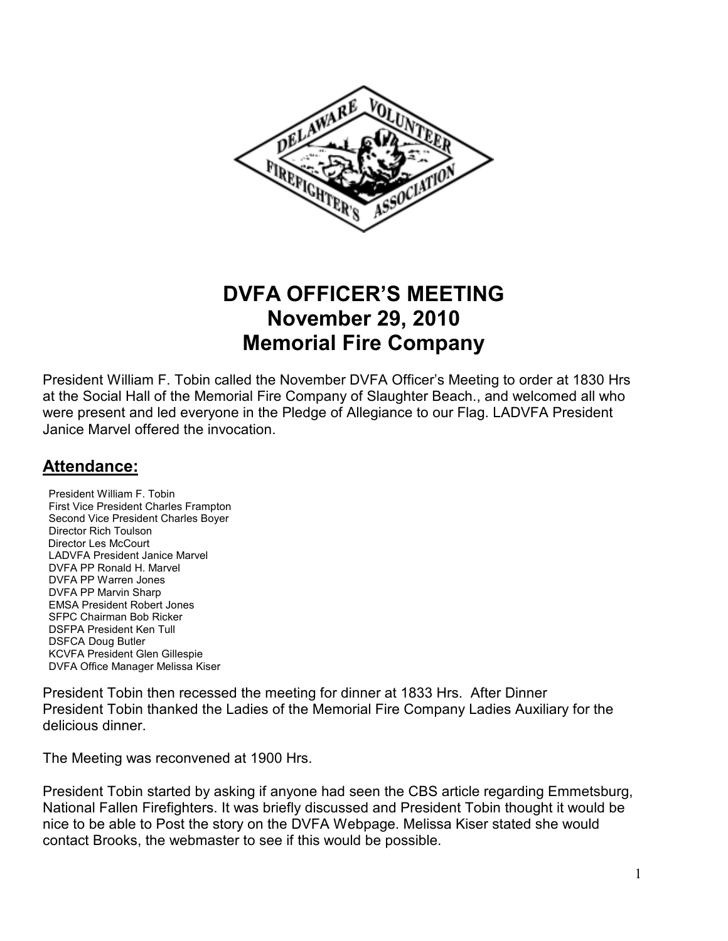

# **DVFA OFFICER'S MEETING November 29, 2010 Memorial Fire Company**

President William F. Tobin called the November DVFA Officer's Meeting to order at 1830 Hrs at the Social Hall of the Memorial Fire Company of Slaughter Beach., and welcomed all who were present and led everyone in the Pledge of Allegiance to our Flag. LADVFA President Janice Marvel offered the invocation.

# **Attendance:**

**President William F. Tobin**  First Vice President Charles Frampton Second Vice President Charles Boyer Director Rich Toulson Director Les McCourt LADVFA President Janice Marvel DVFA PP Ronald H. Marvel DVFA PP Warren Jones DVFA PP Marvin Sharp EMSA President Robert Jones **SFPC Chairman Bob Ricker**  DSFPA President Ken Tull DSFCA Doug Butler KCVFA President Glen Gillespie DVFA Office Manager Melissa Kiser

President Tobin then recessed the meeting for dinner at 1833 Hrs. After Dinner President Tobin thanked the Ladies of the Memorial Fire Company Ladies Auxiliary for the delicious dinner.

The Meeting was reconvened at 1900 Hrs.

President Tobin started by asking if anyone had seen the CBS article regarding Emmetsburg, National Fallen Firefighters. It was briefly discussed and President Tobin thought it would be nice to be able to Post the story on the DVFA Webpage. Melissa Kiser stated she would contact Brooks, the webmaster to see if this would be possible.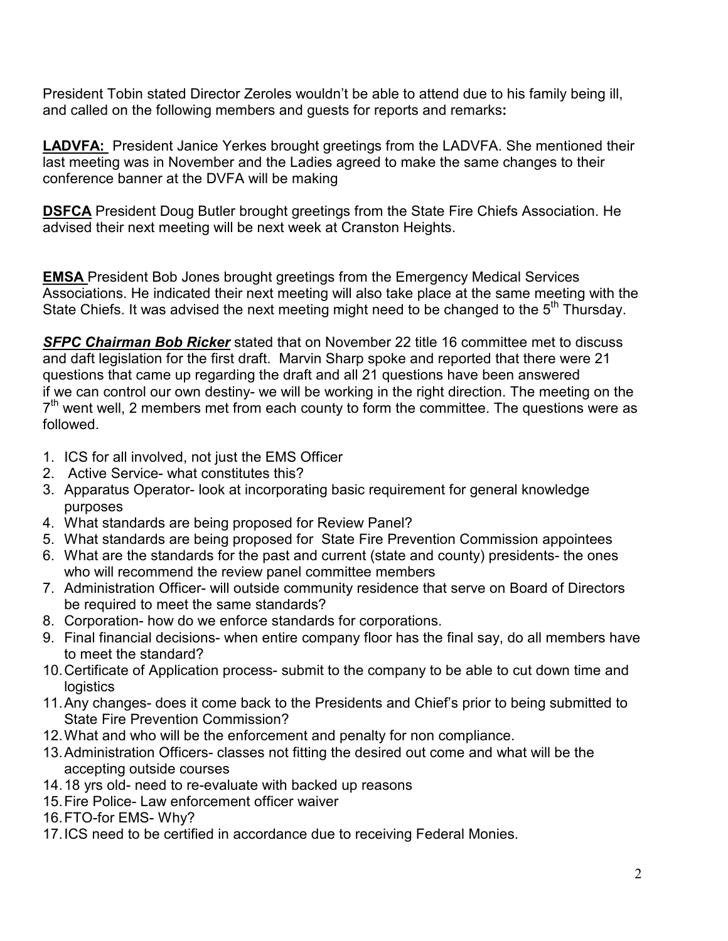President Tobin stated Director Zeroles wouldn't be able to attend due to his family being ill, and called on the following members and guests for reports and remarks**:**

**LADVFA:** President Janice Yerkes brought greetings from the LADVFA. She mentioned their last meeting was in November and the Ladies agreed to make the same changes to their conference banner at the DVFA will be making

**DSFCA** President Doug Butler brought greetings from the State Fire Chiefs Association. He advised their next meeting will be next week at Cranston Heights.

**EMSA** President Bob Jones brought greetings from the Emergency Medical Services Associations. He indicated their next meeting will also take place at the same meeting with the State Chiefs. It was advised the next meeting might need to be changed to the  $5<sup>th</sup>$  Thursday.

*SFPC Chairman Bob Ricker* stated that on November 22 title 16 committee met to discuss and daft legislation for the first draft. Marvin Sharp spoke and reported that there were 21 questions that came up regarding the draft and all 21 questions have been answered if we can control our own destiny- we will be working in the right direction. The meeting on the  $7<sup>th</sup>$  went well, 2 members met from each county to form the committee. The questions were as followed.

- 1. ICS for all involved, not just the EMS Officer
- 2. Active Service- what constitutes this?
- 3. Apparatus Operator- look at incorporating basic requirement for general knowledge purposes
- 4. What standards are being proposed for Review Panel?
- 5. What standards are being proposed for State Fire Prevention Commission appointees
- 6. What are the standards for the past and current (state and county) presidents- the ones who will recommend the review panel committee members
- 7. Administration Officer- will outside community residence that serve on Board of Directors be required to meet the same standards?
- 8. Corporation- how do we enforce standards for corporations.
- 9. Final financial decisions- when entire company floor has the final say, do all members have to meet the standard?
- 10. Certificate of Application process- submit to the company to be able to cut down time and logistics
- 11. Any changes- does it come back to the Presidents and Chief's prior to being submitted to State Fire Prevention Commission?
- 12. What and who will be the enforcement and penalty for non compliance.
- 13. Administration Officers- classes not fitting the desired out come and what will be the accepting outside courses
- 14. 18 yrs old- need to re-evaluate with backed up reasons
- 15. Fire Police- Law enforcement officer waiver
- 16. FTO-for EMS- Why?
- 17. ICS need to be certified in accordance due to receiving Federal Monies.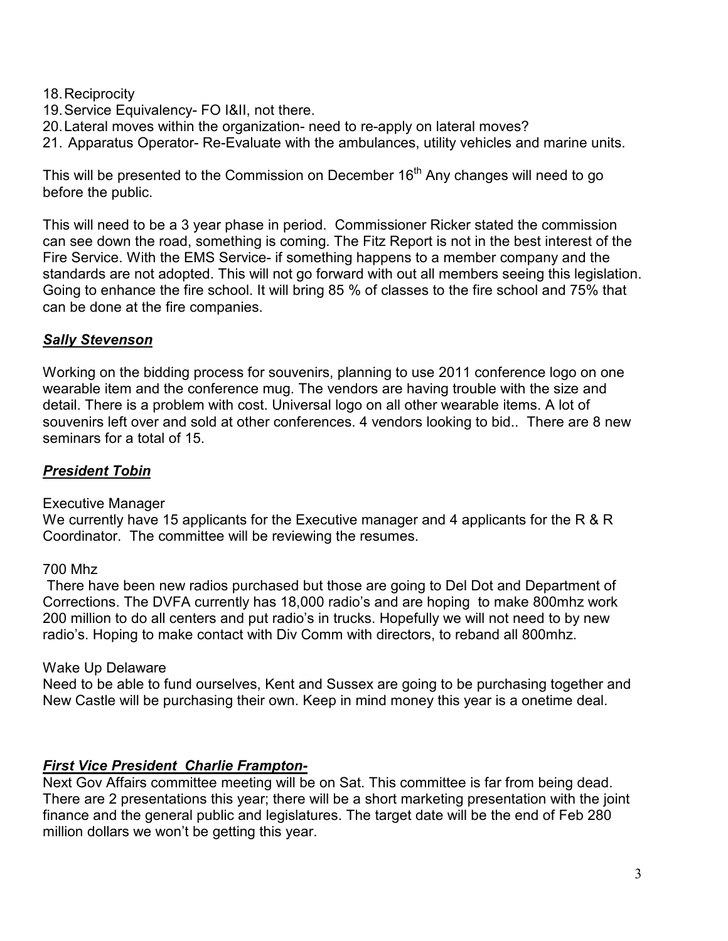#### 18. Reciprocity

- 19. Service Equivalency- FO I&II, not there.
- 20. Lateral moves within the organization- need to re-apply on lateral moves?
- 21. Apparatus Operator- Re-Evaluate with the ambulances, utility vehicles and marine units.

This will be presented to the Commission on December  $16<sup>th</sup>$  Any changes will need to go before the public.

This will need to be a 3 year phase in period. Commissioner Ricker stated the commission can see down the road, something is coming. The Fitz Report is not in the best interest of the Fire Service. With the EMS Service- if something happens to a member company and the standards are not adopted. This will not go forward with out all members seeing this legislation. Going to enhance the fire school. It will bring 85 % of classes to the fire school and 75% that can be done at the fire companies.

#### *Sally Stevenson*

Working on the bidding process for souvenirs, planning to use 2011 conference logo on one wearable item and the conference mug. The vendors are having trouble with the size and detail. There is a problem with cost. Universal logo on all other wearable items. A lot of souvenirs left over and sold at other conferences. 4 vendors looking to bid.. There are 8 new seminars for a total of 15.

#### *President Tobin*

#### Executive Manager

We currently have 15 applicants for the Executive manager and 4 applicants for the R & R Coordinator. The committee will be reviewing the resumes.

#### 700 Mhz

 There have been new radios purchased but those are going to Del Dot and Department of Corrections. The DVFA currently has 18,000 radio's and are hoping to make 800mhz work 200 million to do all centers and put radio's in trucks. Hopefully we will not need to by new radio's. Hoping to make contact with Div Comm with directors, to reband all 800mhz.

#### Wake Up Delaware

Need to be able to fund ourselves, Kent and Sussex are going to be purchasing together and New Castle will be purchasing their own. Keep in mind money this year is a onetime deal.

#### *First Vice President Charlie Frampton-*

Next Gov Affairs committee meeting will be on Sat. This committee is far from being dead. There are 2 presentations this year; there will be a short marketing presentation with the joint finance and the general public and legislatures. The target date will be the end of Feb 280 million dollars we won't be getting this year.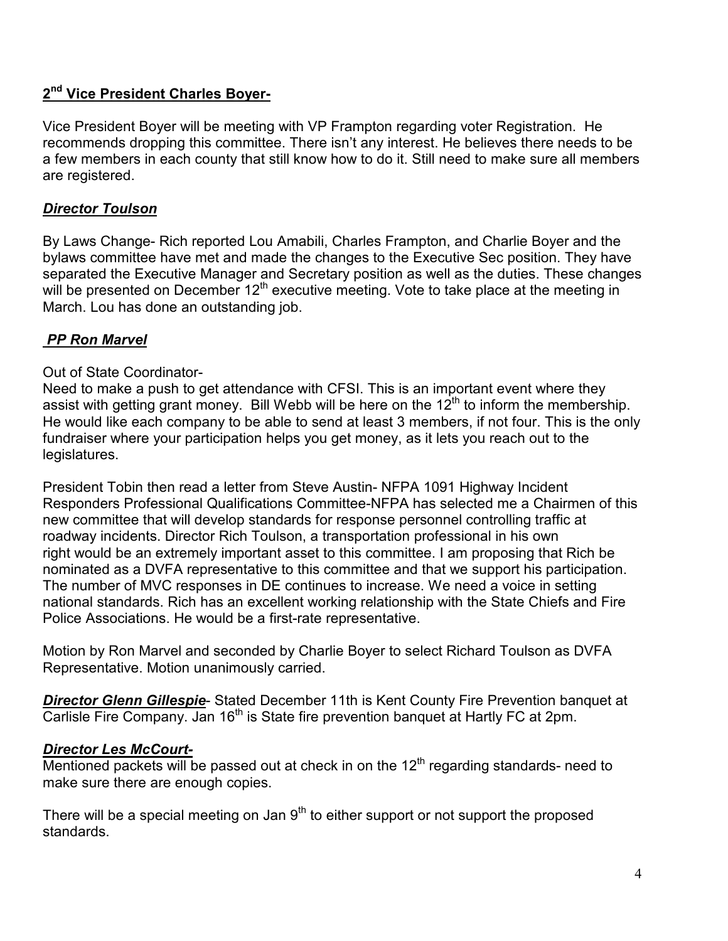# **2 nd Vice President Charles Boyer-**

Vice President Boyer will be meeting with VP Frampton regarding voter Registration. He recommends dropping this committee. There isn't any interest. He believes there needs to be a few members in each county that still know how to do it. Still need to make sure all members are registered.

# *Director Toulson*

By Laws Change- Rich reported Lou Amabili, Charles Frampton, and Charlie Boyer and the bylaws committee have met and made the changes to the Executive Sec position. They have separated the Executive Manager and Secretary position as well as the duties. These changes will be presented on December 12<sup>th</sup> executive meeting. Vote to take place at the meeting in March. Lou has done an outstanding job.

# *PP Ron Marvel*

# Out of State Coordinator-

Need to make a push to get attendance with CFSI. This is an important event where they assist with getting grant money. Bill Webb will be here on the  $12<sup>th</sup>$  to inform the membership. He would like each company to be able to send at least 3 members, if not four. This is the only fundraiser where your participation helps you get money, as it lets you reach out to the legislatures.

President Tobin then read a letter from Steve Austin- NFPA 1091 Highway Incident Responders Professional Qualifications Committee-NFPA has selected me a Chairmen of this new committee that will develop standards for response personnel controlling traffic at roadway incidents. Director Rich Toulson, a transportation professional in his own right would be an extremely important asset to this committee. I am proposing that Rich be nominated as a DVFA representative to this committee and that we support his participation. The number of MVC responses in DE continues to increase. We need a voice in setting national standards. Rich has an excellent working relationship with the State Chiefs and Fire Police Associations. He would be a first-rate representative.

Motion by Ron Marvel and seconded by Charlie Boyer to select Richard Toulson as DVFA Representative. Motion unanimously carried.

*Director Glenn Gillespie*- Stated December 11th is Kent County Fire Prevention banquet at Carlisle Fire Company. Jan  $16<sup>th</sup>$  is State fire prevention banquet at Hartly FC at 2pm.

# *Director Les McCourt-*

Mentioned packets will be passed out at check in on the  $12<sup>th</sup>$  regarding standards- need to make sure there are enough copies.

There will be a special meeting on Jan  $9<sup>th</sup>$  to either support or not support the proposed standards.